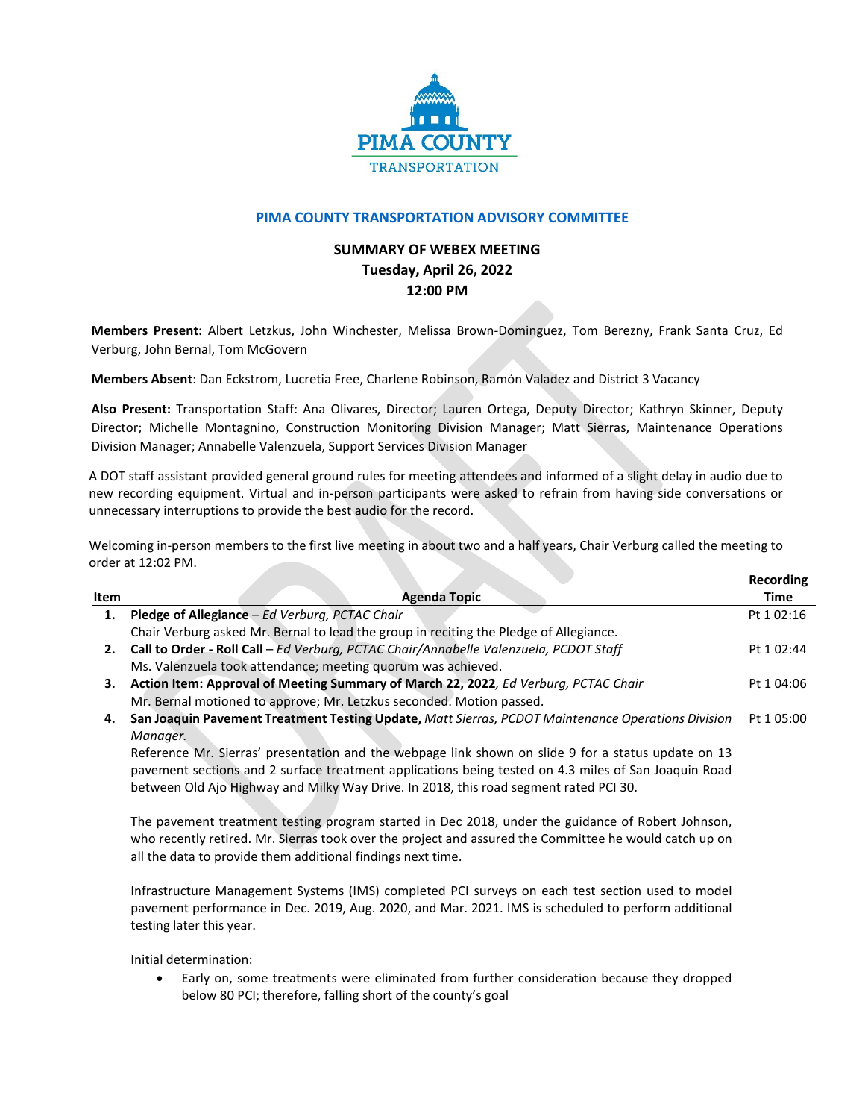

## **[PIMA COUNTY TRANSPORTATION ADVISORY COMMITTEE](https://webcms.pima.gov/cms/One.aspx?portalId=169&pageId=355530)**

## **SUMMARY OF WEBEX MEETING Tuesday, April 26, 2022 12:00 PM**

**Members Present:** Albert Letzkus, John Winchester, Melissa Brown-Dominguez, Tom Berezny, Frank Santa Cruz, Ed Verburg, John Bernal, Tom McGovern

**Members Absent**: Dan Eckstrom, Lucretia Free, Charlene Robinson, Ramón Valadez and District 3 Vacancy

**Also Present:** Transportation Staff: Ana Olivares, Director; Lauren Ortega, Deputy Director; Kathryn Skinner, Deputy Director; Michelle Montagnino, Construction Monitoring Division Manager; Matt Sierras, Maintenance Operations Division Manager; Annabelle Valenzuela, Support Services Division Manager

A DOT staff assistant provided general ground rules for meeting attendees and informed of a slight delay in audio due to new recording equipment. Virtual and in-person participants were asked to refrain from having side conversations or unnecessary interruptions to provide the best audio for the record.

Welcoming in-person members to the first live meeting in about two and a half years, Chair Verburg called the meeting to order at 12:02 PM.

**Recording**

|      |                                                                                                      | .          |
|------|------------------------------------------------------------------------------------------------------|------------|
| Item | Agenda Topic                                                                                         | Time       |
| 1.   | Pledge of Allegiance – Ed Verburg, PCTAC Chair                                                       | Pt 1 02:16 |
|      | Chair Verburg asked Mr. Bernal to lead the group in reciting the Pledge of Allegiance.               |            |
| 2.   | Call to Order - Roll Call - Ed Verburg, PCTAC Chair/Annabelle Valenzuela, PCDOT Staff                | Pt 1 02:44 |
|      | Ms. Valenzuela took attendance; meeting quorum was achieved.                                         |            |
| з.   | Action Item: Approval of Meeting Summary of March 22, 2022, Ed Verburg, PCTAC Chair                  | Pt 1 04:06 |
|      | Mr. Bernal motioned to approve; Mr. Letzkus seconded. Motion passed.                                 |            |
| 4.   | San Joaquin Pavement Treatment Testing Update, Matt Sierras, PCDOT Maintenance Operations Division   | Pt 1 05:00 |
|      | Manager.                                                                                             |            |
|      | Reference Mr. Sierras' presentation and the webpage link shown on slide 9 for a status update on 13  |            |
|      | pavement sections and 2 surface treatment applications being tested on 4.3 miles of San Joaquin Road |            |
|      | between Old Ajo Highway and Milky Way Drive. In 2018, this road segment rated PCI 30.                |            |
|      | The pavement treatment testing program started in Dec 2018, under the guidance of Robert Johnson,    |            |

who recently retired. Mr. Sierras took over the project and assured the Committee he would catch up on all the data to provide them additional findings next time.

Infrastructure Management Systems (IMS) completed PCI surveys on each test section used to model pavement performance in Dec. 2019, Aug. 2020, and Mar. 2021. IMS is scheduled to perform additional testing later this year.

Initial determination:

• Early on, some treatments were eliminated from further consideration because they dropped below 80 PCI; therefore, falling short of the county's goal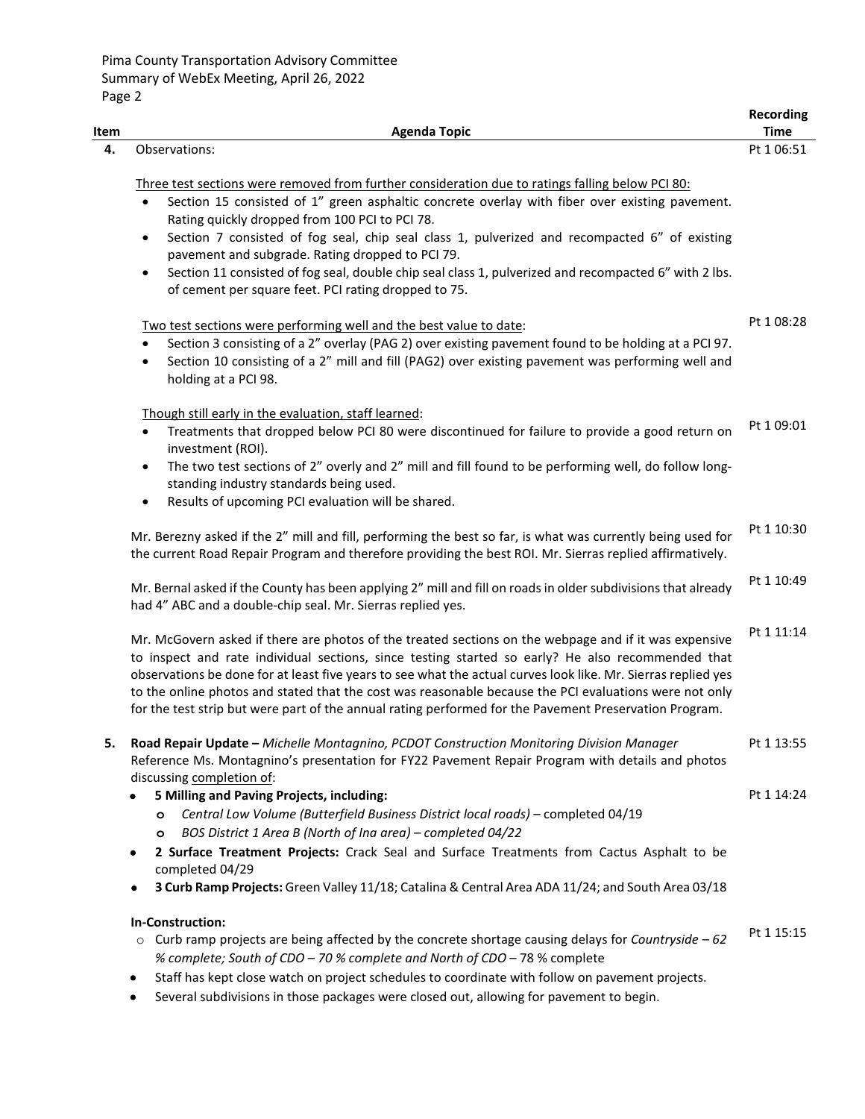| Item | <b>Agenda Topic</b>                                                                                                                                                                                                                                                                                                                                                                                                                                                                                                                             | <b>Recording</b><br><b>Time</b> |
|------|-------------------------------------------------------------------------------------------------------------------------------------------------------------------------------------------------------------------------------------------------------------------------------------------------------------------------------------------------------------------------------------------------------------------------------------------------------------------------------------------------------------------------------------------------|---------------------------------|
| 4.   | Observations:                                                                                                                                                                                                                                                                                                                                                                                                                                                                                                                                   | Pt 1 06:51                      |
|      | Three test sections were removed from further consideration due to ratings falling below PCI 80:                                                                                                                                                                                                                                                                                                                                                                                                                                                |                                 |
|      | Section 15 consisted of 1" green asphaltic concrete overlay with fiber over existing pavement.<br>$\bullet$<br>Rating quickly dropped from 100 PCI to PCI 78.                                                                                                                                                                                                                                                                                                                                                                                   |                                 |
|      | Section 7 consisted of fog seal, chip seal class 1, pulverized and recompacted 6" of existing<br>$\bullet$<br>pavement and subgrade. Rating dropped to PCI 79.                                                                                                                                                                                                                                                                                                                                                                                  |                                 |
|      | Section 11 consisted of fog seal, double chip seal class 1, pulverized and recompacted 6" with 2 lbs.<br>$\bullet$<br>of cement per square feet. PCI rating dropped to 75.                                                                                                                                                                                                                                                                                                                                                                      |                                 |
|      | Two test sections were performing well and the best value to date:                                                                                                                                                                                                                                                                                                                                                                                                                                                                              | Pt 1 08:28                      |
|      | Section 3 consisting of a 2" overlay (PAG 2) over existing pavement found to be holding at a PCI 97.<br>$\bullet$<br>Section 10 consisting of a 2" mill and fill (PAG2) over existing pavement was performing well and<br>$\bullet$<br>holding at a PCI 98.                                                                                                                                                                                                                                                                                     |                                 |
|      | Though still early in the evaluation, staff learned:<br>Treatments that dropped below PCI 80 were discontinued for failure to provide a good return on<br>$\bullet$<br>investment (ROI).                                                                                                                                                                                                                                                                                                                                                        | Pt 1 09:01                      |
|      | The two test sections of 2" overly and 2" mill and fill found to be performing well, do follow long-<br>$\bullet$<br>standing industry standards being used.<br>Results of upcoming PCI evaluation will be shared.<br>$\bullet$                                                                                                                                                                                                                                                                                                                 |                                 |
|      | Mr. Berezny asked if the 2" mill and fill, performing the best so far, is what was currently being used for<br>the current Road Repair Program and therefore providing the best ROI. Mr. Sierras replied affirmatively.                                                                                                                                                                                                                                                                                                                         | Pt 1 10:30                      |
|      | Mr. Bernal asked if the County has been applying 2" mill and fill on roads in older subdivisions that already<br>had 4" ABC and a double-chip seal. Mr. Sierras replied yes.                                                                                                                                                                                                                                                                                                                                                                    | Pt 1 10:49                      |
|      | Mr. McGovern asked if there are photos of the treated sections on the webpage and if it was expensive<br>to inspect and rate individual sections, since testing started so early? He also recommended that<br>observations be done for at least five years to see what the actual curves look like. Mr. Sierras replied yes<br>to the online photos and stated that the cost was reasonable because the PCI evaluations were not only<br>for the test strip but were part of the annual rating performed for the Pavement Preservation Program. | Pt 1 11:14                      |
| 5.   | Road Repair Update - Michelle Montagnino, PCDOT Construction Monitoring Division Manager<br>Reference Ms. Montagnino's presentation for FY22 Pavement Repair Program with details and photos<br>discussing completion of:                                                                                                                                                                                                                                                                                                                       | Pt 1 13:55                      |
|      | 5 Milling and Paving Projects, including:                                                                                                                                                                                                                                                                                                                                                                                                                                                                                                       | Pt 1 14:24                      |
|      | Central Low Volume (Butterfield Business District local roads) - completed 04/19<br>$\circ$<br>BOS District 1 Area B (North of Ina area) - completed 04/22<br>$\circ$                                                                                                                                                                                                                                                                                                                                                                           |                                 |
|      | 2 Surface Treatment Projects: Crack Seal and Surface Treatments from Cactus Asphalt to be<br>٠<br>completed 04/29                                                                                                                                                                                                                                                                                                                                                                                                                               |                                 |
|      | 3 Curb Ramp Projects: Green Valley 11/18; Catalina & Central Area ADA 11/24; and South Area 03/18<br>٠                                                                                                                                                                                                                                                                                                                                                                                                                                          |                                 |
|      | In-Construction:                                                                                                                                                                                                                                                                                                                                                                                                                                                                                                                                |                                 |
|      | $\circ$ Curb ramp projects are being affected by the concrete shortage causing delays for Countryside - 62<br>% complete; South of CDO - 70 % complete and North of CDO - 78 % complete                                                                                                                                                                                                                                                                                                                                                         | Pt 1 15:15                      |
|      | Staff has kept close watch on project schedules to coordinate with follow on pavement projects.<br>٠<br>Several subdivisions in those packages were closed out, allowing for pavement to begin.                                                                                                                                                                                                                                                                                                                                                 |                                 |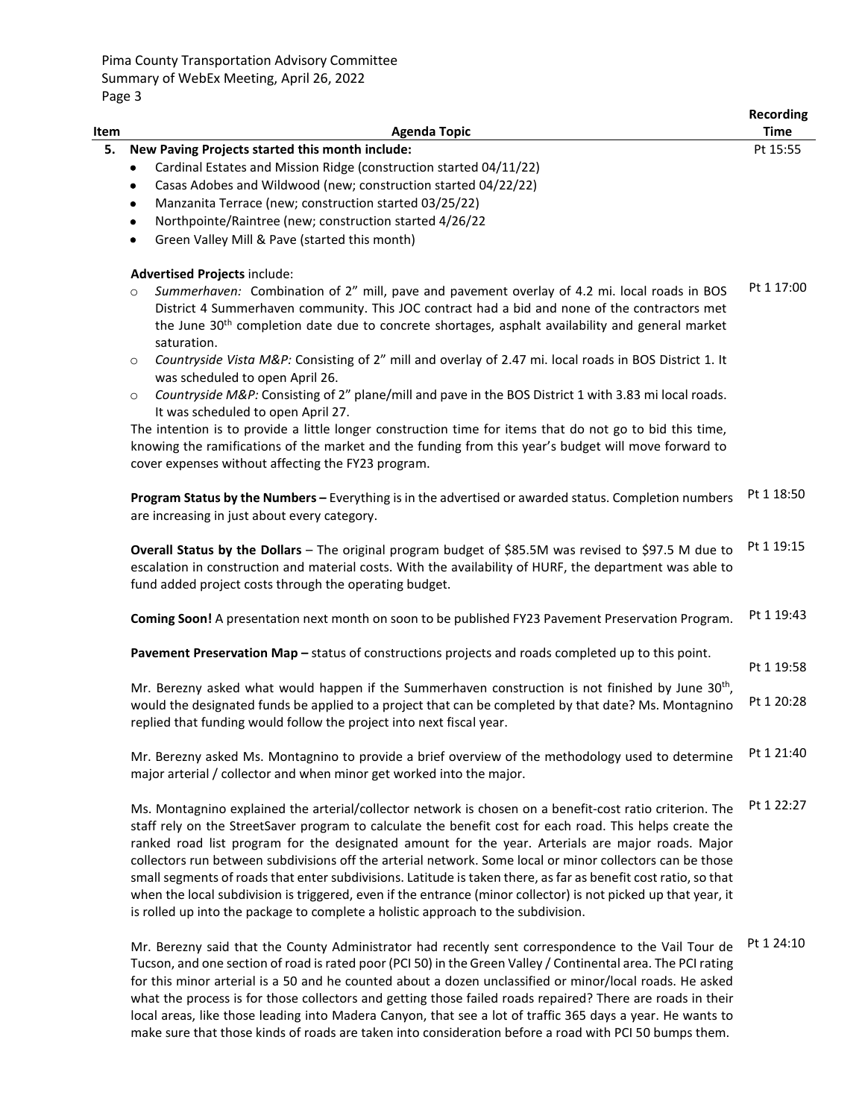Pima County Transportation Advisory Committee Summary of WebEx Meeting, April 26, 2022 Page 3

| Item |                                                                                                                                                                                                                                                                                                                                                                                                                                                                                                                                                                                                                                                                                                                                                                  | Recording<br><b>Time</b> |
|------|------------------------------------------------------------------------------------------------------------------------------------------------------------------------------------------------------------------------------------------------------------------------------------------------------------------------------------------------------------------------------------------------------------------------------------------------------------------------------------------------------------------------------------------------------------------------------------------------------------------------------------------------------------------------------------------------------------------------------------------------------------------|--------------------------|
| 5.   | <b>Agenda Topic</b><br>New Paving Projects started this month include:                                                                                                                                                                                                                                                                                                                                                                                                                                                                                                                                                                                                                                                                                           | Pt 15:55                 |
|      | Cardinal Estates and Mission Ridge (construction started 04/11/22)<br>$\bullet$                                                                                                                                                                                                                                                                                                                                                                                                                                                                                                                                                                                                                                                                                  |                          |
|      | Casas Adobes and Wildwood (new; construction started 04/22/22)<br>$\bullet$                                                                                                                                                                                                                                                                                                                                                                                                                                                                                                                                                                                                                                                                                      |                          |
|      | Manzanita Terrace (new; construction started 03/25/22)<br>٠                                                                                                                                                                                                                                                                                                                                                                                                                                                                                                                                                                                                                                                                                                      |                          |
|      | Northpointe/Raintree (new; construction started 4/26/22<br>$\bullet$                                                                                                                                                                                                                                                                                                                                                                                                                                                                                                                                                                                                                                                                                             |                          |
|      | Green Valley Mill & Pave (started this month)<br>$\bullet$                                                                                                                                                                                                                                                                                                                                                                                                                                                                                                                                                                                                                                                                                                       |                          |
|      | <b>Advertised Projects include:</b>                                                                                                                                                                                                                                                                                                                                                                                                                                                                                                                                                                                                                                                                                                                              |                          |
|      | Summerhaven: Combination of 2" mill, pave and pavement overlay of 4.2 mi. local roads in BOS<br>$\circ$                                                                                                                                                                                                                                                                                                                                                                                                                                                                                                                                                                                                                                                          | Pt 1 17:00               |
|      | District 4 Summerhaven community. This JOC contract had a bid and none of the contractors met                                                                                                                                                                                                                                                                                                                                                                                                                                                                                                                                                                                                                                                                    |                          |
|      | the June $30th$ completion date due to concrete shortages, asphalt availability and general market                                                                                                                                                                                                                                                                                                                                                                                                                                                                                                                                                                                                                                                               |                          |
|      | saturation.                                                                                                                                                                                                                                                                                                                                                                                                                                                                                                                                                                                                                                                                                                                                                      |                          |
|      | Countryside Vista M&P: Consisting of 2" mill and overlay of 2.47 mi. local roads in BOS District 1. It<br>$\circ$<br>was scheduled to open April 26.                                                                                                                                                                                                                                                                                                                                                                                                                                                                                                                                                                                                             |                          |
|      | Countryside M&P: Consisting of 2" plane/mill and pave in the BOS District 1 with 3.83 mi local roads.<br>$\circ$<br>It was scheduled to open April 27.                                                                                                                                                                                                                                                                                                                                                                                                                                                                                                                                                                                                           |                          |
|      | The intention is to provide a little longer construction time for items that do not go to bid this time,                                                                                                                                                                                                                                                                                                                                                                                                                                                                                                                                                                                                                                                         |                          |
|      | knowing the ramifications of the market and the funding from this year's budget will move forward to                                                                                                                                                                                                                                                                                                                                                                                                                                                                                                                                                                                                                                                             |                          |
|      | cover expenses without affecting the FY23 program.                                                                                                                                                                                                                                                                                                                                                                                                                                                                                                                                                                                                                                                                                                               |                          |
|      | Program Status by the Numbers - Everything is in the advertised or awarded status. Completion numbers<br>are increasing in just about every category.                                                                                                                                                                                                                                                                                                                                                                                                                                                                                                                                                                                                            | Pt 1 18:50               |
|      | Overall Status by the Dollars - The original program budget of \$85.5M was revised to \$97.5 M due to<br>escalation in construction and material costs. With the availability of HURF, the department was able to<br>fund added project costs through the operating budget.                                                                                                                                                                                                                                                                                                                                                                                                                                                                                      | Pt 1 19:15               |
|      | Coming Soon! A presentation next month on soon to be published FY23 Pavement Preservation Program.                                                                                                                                                                                                                                                                                                                                                                                                                                                                                                                                                                                                                                                               | Pt 1 19:43               |
|      | Pavement Preservation Map - status of constructions projects and roads completed up to this point.                                                                                                                                                                                                                                                                                                                                                                                                                                                                                                                                                                                                                                                               | Pt 1 19:58               |
|      | Mr. Berezny asked what would happen if the Summerhaven construction is not finished by June 30 <sup>th</sup> ,                                                                                                                                                                                                                                                                                                                                                                                                                                                                                                                                                                                                                                                   |                          |
|      | would the designated funds be applied to a project that can be completed by that date? Ms. Montagnino<br>replied that funding would follow the project into next fiscal year.                                                                                                                                                                                                                                                                                                                                                                                                                                                                                                                                                                                    | Pt 1 20:28               |
|      | Mr. Berezny asked Ms. Montagnino to provide a brief overview of the methodology used to determine<br>major arterial / collector and when minor get worked into the major.                                                                                                                                                                                                                                                                                                                                                                                                                                                                                                                                                                                        | Pt 1 21:40               |
|      | Ms. Montagnino explained the arterial/collector network is chosen on a benefit-cost ratio criterion. The<br>staff rely on the StreetSaver program to calculate the benefit cost for each road. This helps create the<br>ranked road list program for the designated amount for the year. Arterials are major roads. Major<br>collectors run between subdivisions off the arterial network. Some local or minor collectors can be those<br>small segments of roads that enter subdivisions. Latitude is taken there, as far as benefit cost ratio, so that<br>when the local subdivision is triggered, even if the entrance (minor collector) is not picked up that year, it<br>is rolled up into the package to complete a holistic approach to the subdivision. | Pt 1 22:27               |
|      | Mr. Berezny said that the County Administrator had recently sent correspondence to the Vail Tour de<br>Tucson, and one section of road is rated poor (PCI 50) in the Green Valley / Continental area. The PCI rating<br>for this minor arterial is a 50 and he counted about a dozen unclassified or minor/local roads. He asked<br>what the process is for those collectors and getting those failed roads repaired? There are roads in their                                                                                                                                                                                                                                                                                                                   | Pt 1 24:10               |

local areas, like those leading into Madera Canyon, that see a lot of traffic 365 days a year. He wants to make sure that those kinds of roads are taken into consideration before a road with PCI 50 bumps them.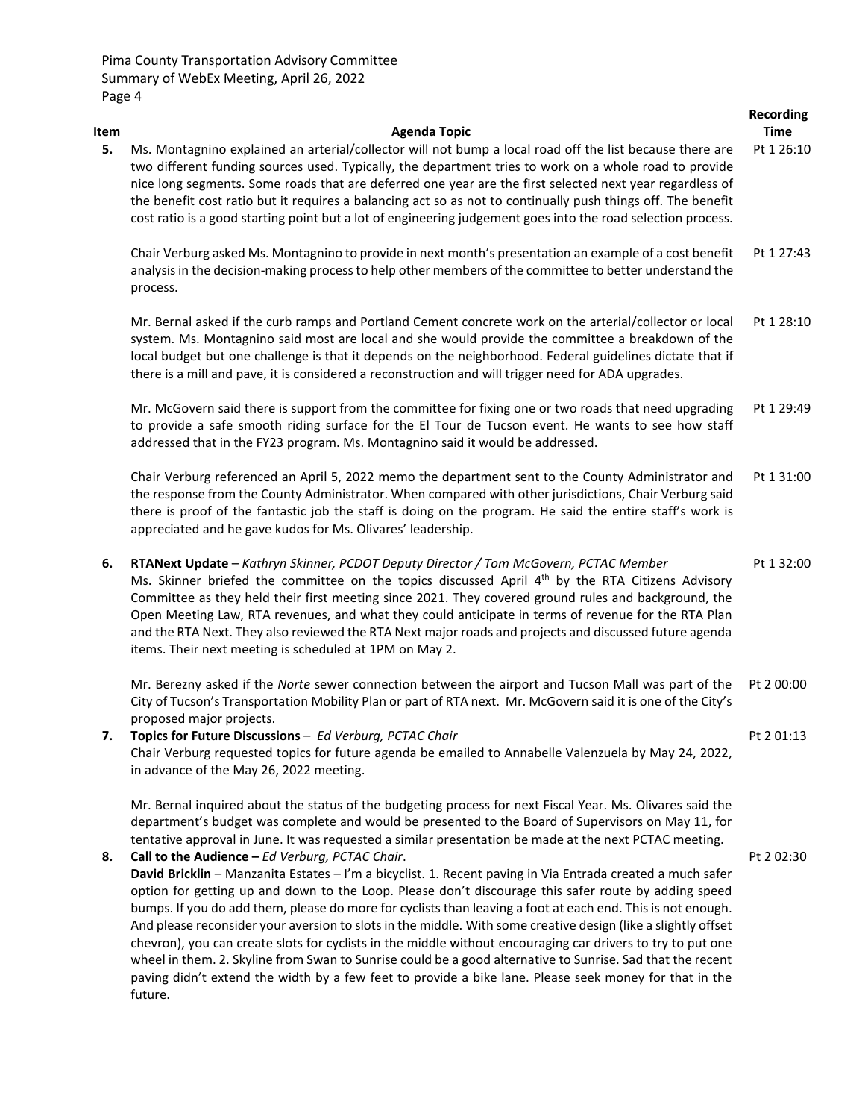|      |                                                                                                                                                                                                                                                                                                                                                                                                                                                                                                                                                                                                                                                                                                                                                                                                                                                                                                                                                                                                                                                                 | <b>Recording</b> |
|------|-----------------------------------------------------------------------------------------------------------------------------------------------------------------------------------------------------------------------------------------------------------------------------------------------------------------------------------------------------------------------------------------------------------------------------------------------------------------------------------------------------------------------------------------------------------------------------------------------------------------------------------------------------------------------------------------------------------------------------------------------------------------------------------------------------------------------------------------------------------------------------------------------------------------------------------------------------------------------------------------------------------------------------------------------------------------|------------------|
| Item | <b>Agenda Topic</b>                                                                                                                                                                                                                                                                                                                                                                                                                                                                                                                                                                                                                                                                                                                                                                                                                                                                                                                                                                                                                                             | <b>Time</b>      |
| 5.   | Ms. Montagnino explained an arterial/collector will not bump a local road off the list because there are<br>two different funding sources used. Typically, the department tries to work on a whole road to provide<br>nice long segments. Some roads that are deferred one year are the first selected next year regardless of<br>the benefit cost ratio but it requires a balancing act so as not to continually push things off. The benefit<br>cost ratio is a good starting point but a lot of engineering judgement goes into the road selection process.                                                                                                                                                                                                                                                                                                                                                                                                                                                                                                  | Pt 1 26:10       |
|      | Chair Verburg asked Ms. Montagnino to provide in next month's presentation an example of a cost benefit<br>analysis in the decision-making process to help other members of the committee to better understand the<br>process.                                                                                                                                                                                                                                                                                                                                                                                                                                                                                                                                                                                                                                                                                                                                                                                                                                  | Pt 1 27:43       |
|      | Mr. Bernal asked if the curb ramps and Portland Cement concrete work on the arterial/collector or local<br>system. Ms. Montagnino said most are local and she would provide the committee a breakdown of the<br>local budget but one challenge is that it depends on the neighborhood. Federal guidelines dictate that if<br>there is a mill and pave, it is considered a reconstruction and will trigger need for ADA upgrades.                                                                                                                                                                                                                                                                                                                                                                                                                                                                                                                                                                                                                                | Pt 1 28:10       |
|      | Mr. McGovern said there is support from the committee for fixing one or two roads that need upgrading<br>to provide a safe smooth riding surface for the El Tour de Tucson event. He wants to see how staff<br>addressed that in the FY23 program. Ms. Montagnino said it would be addressed.                                                                                                                                                                                                                                                                                                                                                                                                                                                                                                                                                                                                                                                                                                                                                                   | Pt 1 29:49       |
|      | Chair Verburg referenced an April 5, 2022 memo the department sent to the County Administrator and<br>the response from the County Administrator. When compared with other jurisdictions, Chair Verburg said<br>there is proof of the fantastic job the staff is doing on the program. He said the entire staff's work is<br>appreciated and he gave kudos for Ms. Olivares' leadership.                                                                                                                                                                                                                                                                                                                                                                                                                                                                                                                                                                                                                                                                        | Pt 1 31:00       |
| 6.   | RTANext Update - Kathryn Skinner, PCDOT Deputy Director / Tom McGovern, PCTAC Member<br>Ms. Skinner briefed the committee on the topics discussed April 4th by the RTA Citizens Advisory<br>Committee as they held their first meeting since 2021. They covered ground rules and background, the<br>Open Meeting Law, RTA revenues, and what they could anticipate in terms of revenue for the RTA Plan<br>and the RTA Next. They also reviewed the RTA Next major roads and projects and discussed future agenda<br>items. Their next meeting is scheduled at 1PM on May 2.                                                                                                                                                                                                                                                                                                                                                                                                                                                                                    | Pt 1 32:00       |
|      | Mr. Berezny asked if the Norte sewer connection between the airport and Tucson Mall was part of the<br>City of Tucson's Transportation Mobility Plan or part of RTA next. Mr. McGovern said it is one of the City's<br>proposed major projects.                                                                                                                                                                                                                                                                                                                                                                                                                                                                                                                                                                                                                                                                                                                                                                                                                 | Pt 2 00:00       |
| 7.   | Topics for Future Discussions - Ed Verburg, PCTAC Chair<br>Chair Verburg requested topics for future agenda be emailed to Annabelle Valenzuela by May 24, 2022,<br>in advance of the May 26, 2022 meeting.                                                                                                                                                                                                                                                                                                                                                                                                                                                                                                                                                                                                                                                                                                                                                                                                                                                      | Pt 2 01:13       |
| 8.   | Mr. Bernal inquired about the status of the budgeting process for next Fiscal Year. Ms. Olivares said the<br>department's budget was complete and would be presented to the Board of Supervisors on May 11, for<br>tentative approval in June. It was requested a similar presentation be made at the next PCTAC meeting.<br>Call to the Audience - Ed Verburg, PCTAC Chair.<br>David Bricklin - Manzanita Estates - I'm a bicyclist. 1. Recent paving in Via Entrada created a much safer<br>option for getting up and down to the Loop. Please don't discourage this safer route by adding speed<br>bumps. If you do add them, please do more for cyclists than leaving a foot at each end. This is not enough.<br>And please reconsider your aversion to slots in the middle. With some creative design (like a slightly offset<br>chevron), you can create slots for cyclists in the middle without encouraging car drivers to try to put one<br>wheel in them. 2. Skyline from Swan to Sunrise could be a good alternative to Sunrise. Sad that the recent | Pt 2 02:30       |
|      | paving didn't extend the width by a few feet to provide a bike lane. Please seek money for that in the<br>future.                                                                                                                                                                                                                                                                                                                                                                                                                                                                                                                                                                                                                                                                                                                                                                                                                                                                                                                                               |                  |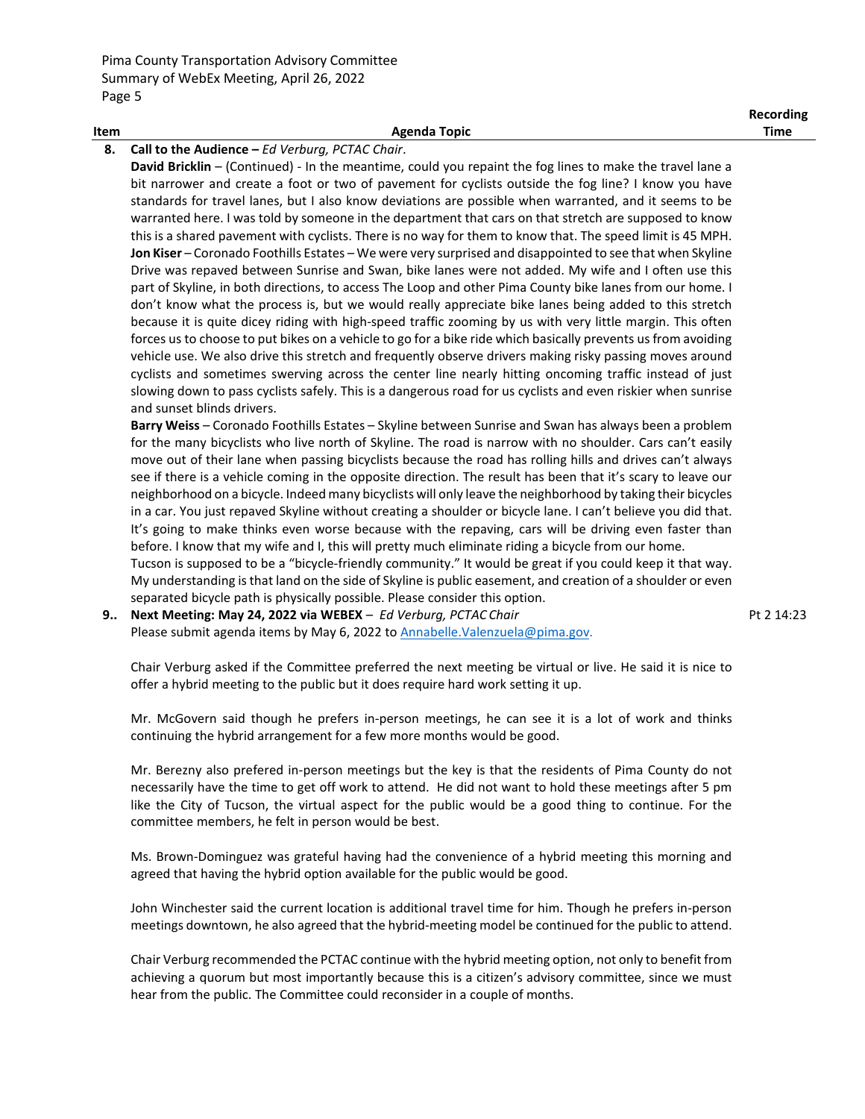|      |              | Recording |
|------|--------------|-----------|
| Item | Agenda Topic | Time      |
|      |              |           |

## **8. Call to the Audience –** *Ed Verburg, PCTAC Chair*.

**David Bricklin** – (Continued) - In the meantime, could you repaint the fog lines to make the travel lane a bit narrower and create a foot or two of pavement for cyclists outside the fog line? I know you have standards for travel lanes, but I also know deviations are possible when warranted, and it seems to be warranted here. I was told by someone in the department that cars on that stretch are supposed to know this is a shared pavement with cyclists. There is no way for them to know that. The speed limit is 45 MPH. **Jon Kiser** – Coronado Foothills Estates – We were very surprised and disappointed to see that when Skyline Drive was repaved between Sunrise and Swan, bike lanes were not added. My wife and I often use this part of Skyline, in both directions, to access The Loop and other Pima County bike lanes from our home. I don't know what the process is, but we would really appreciate bike lanes being added to this stretch because it is quite dicey riding with high-speed traffic zooming by us with very little margin. This often forces us to choose to put bikes on a vehicle to go for a bike ride which basically prevents us from avoiding vehicle use. We also drive this stretch and frequently observe drivers making risky passing moves around cyclists and sometimes swerving across the center line nearly hitting oncoming traffic instead of just slowing down to pass cyclists safely. This is a dangerous road for us cyclists and even riskier when sunrise and sunset blinds drivers.

**Barry Weiss** – Coronado Foothills Estates – Skyline between Sunrise and Swan has always been a problem for the many bicyclists who live north of Skyline. The road is narrow with no shoulder. Cars can't easily move out of their lane when passing bicyclists because the road has rolling hills and drives can't always see if there is a vehicle coming in the opposite direction. The result has been that it's scary to leave our neighborhood on a bicycle. Indeed many bicyclists will only leave the neighborhood by taking their bicycles in a car. You just repaved Skyline without creating a shoulder or bicycle lane. I can't believe you did that. It's going to make thinks even worse because with the repaving, cars will be driving even faster than before. I know that my wife and I, this will pretty much eliminate riding a bicycle from our home.

Tucson is supposed to be a "bicycle-friendly community." It would be great if you could keep it that way. My understanding is that land on the side of Skyline is public easement, and creation of a shoulder or even separated bicycle path is physically possible. Please consider this option.

**9.. Next Meeting: May 24, 2022 via WEBEX** – *Ed Verburg, PCTAC Chair* Please submit agenda items by May 6, 2022 to Annabelle. Valenzuela@pima.gov. Pt 2 14:23

Chair Verburg asked if the Committee preferred the next meeting be virtual or live. He said it is nice to offer a hybrid meeting to the public but it does require hard work setting it up.

Mr. McGovern said though he prefers in-person meetings, he can see it is a lot of work and thinks continuing the hybrid arrangement for a few more months would be good.

Mr. Berezny also prefered in-person meetings but the key is that the residents of Pima County do not necessarily have the time to get off work to attend. He did not want to hold these meetings after 5 pm like the City of Tucson, the virtual aspect for the public would be a good thing to continue. For the committee members, he felt in person would be best.

Ms. Brown-Dominguez was grateful having had the convenience of a hybrid meeting this morning and agreed that having the hybrid option available for the public would be good.

John Winchester said the current location is additional travel time for him. Though he prefers in-person meetings downtown, he also agreed that the hybrid-meeting model be continued for the public to attend.

Chair Verburg recommended the PCTAC continue with the hybrid meeting option, not only to benefit from achieving a quorum but most importantly because this is a citizen's advisory committee, since we must hear from the public. The Committee could reconsider in a couple of months.